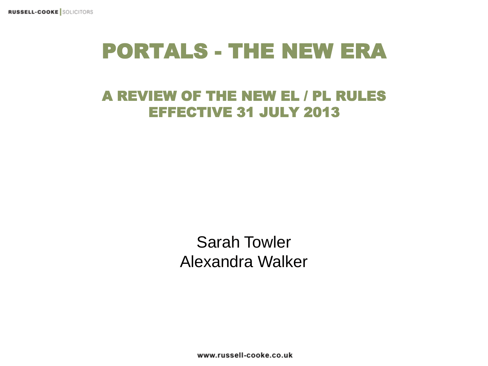#### PORTALS - THE NEW ERA

#### A REVIEW OF THE NEW EL / PL RULES EFFECTIVE 31 JULY 2013

Sarah Towler Alexandra Walker

www.russell-cooke.co.uk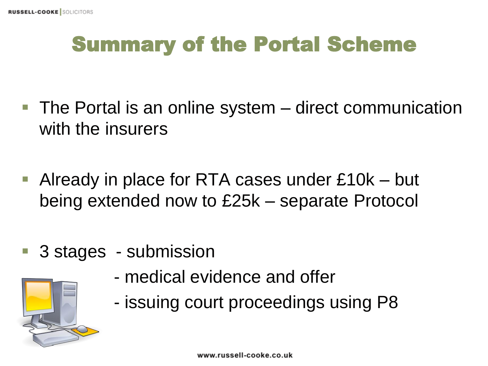## Summary of the Portal Scheme

- The Portal is an online system direct communication with the insurers
- Already in place for RTA cases under £10k but being extended now to £25k – separate Protocol
- 3 stages submission



- medical evidence and offer
- issuing court proceedings using P8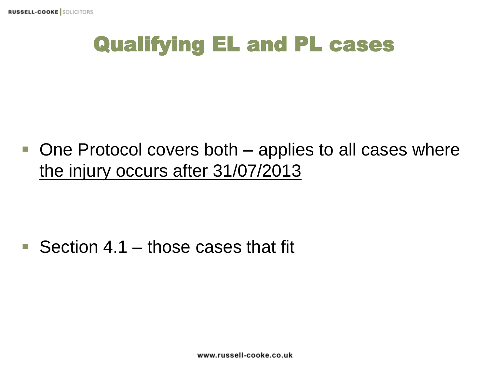#### Qualifying EL and PL cases

 $\blacksquare$  One Protocol covers both  $\blacksquare$  applies to all cases where the injury occurs after 31/07/2013

Section 4.1 – those cases that fit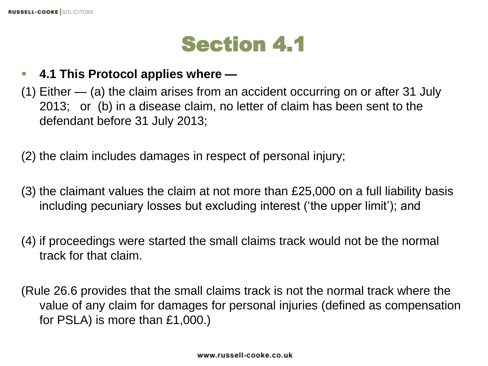#### Section 4.1

#### **4.1 This Protocol applies where —**

(1) Either — (a) the claim arises from an accident occurring on or after 31 July 2013; or (b) in a disease claim, no letter of claim has been sent to the defendant before 31 July 2013;

(2) the claim includes damages in respect of personal injury;

- (3) the claimant values the claim at not more than £25,000 on a full liability basis including pecuniary losses but excluding interest ('the upper limit'); and
- (4) if proceedings were started the small claims track would not be the normal track for that claim.
- (Rule 26.6 provides that the small claims track is not the normal track where the value of any claim for damages for personal injuries (defined as compensation for PSLA) is more than £1,000.)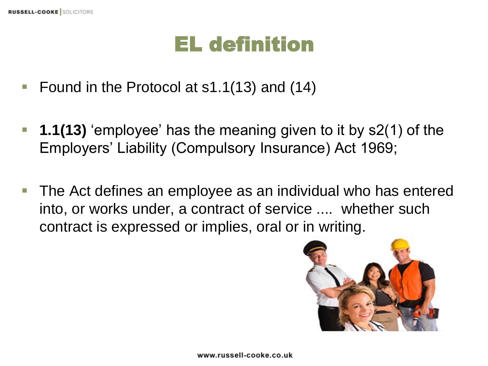#### EL definition

- Found in the Protocol at s1.1(13) and (14)
- **1.1(13)** 'employee' has the meaning given to it by s2(1) of the Employers' Liability (Compulsory Insurance) Act 1969;
- The Act defines an employee as an individual who has entered into, or works under, a contract of service .... whether such contract is expressed or implies, oral or in writing.

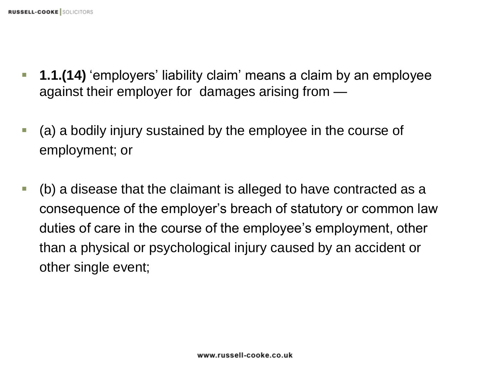- **1.1.(14)** 'employers' liability claim' means a claim by an employee against their employer for damages arising from —
- (a) a bodily injury sustained by the employee in the course of employment; or
- (b) a disease that the claimant is alleged to have contracted as a consequence of the employer's breach of statutory or common law duties of care in the course of the employee's employment, other than a physical or psychological injury caused by an accident or other single event;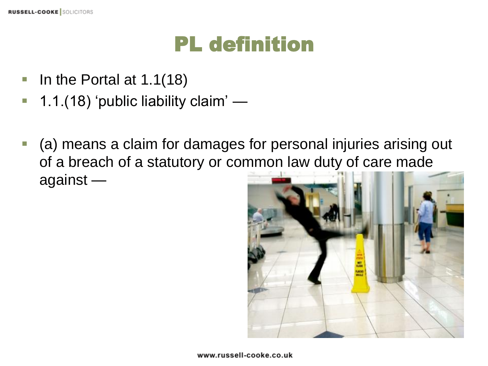## PL definition

- In the Portal at  $1.1(18)$
- 1.1.(18) 'public liability claim' —
- (a) means a claim for damages for personal injuries arising out of a breach of a statutory or common law duty of care made against —

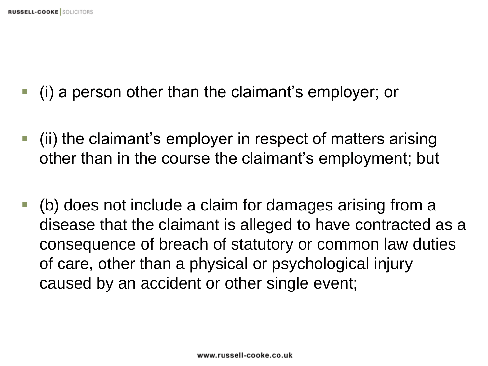- (i) a person other than the claimant's employer; or
- (ii) the claimant's employer in respect of matters arising other than in the course the claimant's employment; but
- (b) does not include a claim for damages arising from a disease that the claimant is alleged to have contracted as a consequence of breach of statutory or common law duties of care, other than a physical or psychological injury caused by an accident or other single event;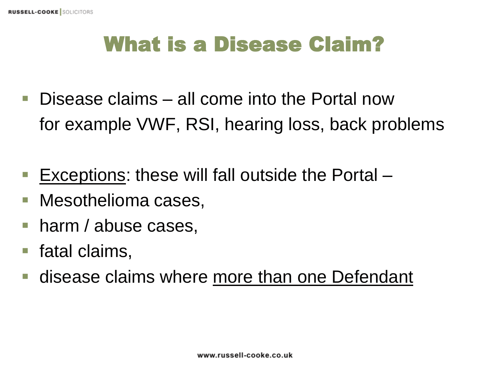#### What is a Disease Claim?

- Disease claims all come into the Portal now for example VWF, RSI, hearing loss, back problems
- **Exceptions: these will fall outside the Portal**  $-$
- Mesothelioma cases,
- **harm / abuse cases,**
- fatal claims,
- **disease claims where more than one Defendant**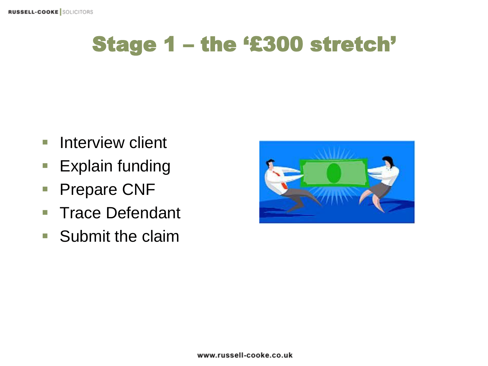## Stage 1 – the '£300 stretch'

- **Interview client**
- **Explain funding**
- **Prepare CNF**
- **Trace Defendant**
- **Submit the claim**

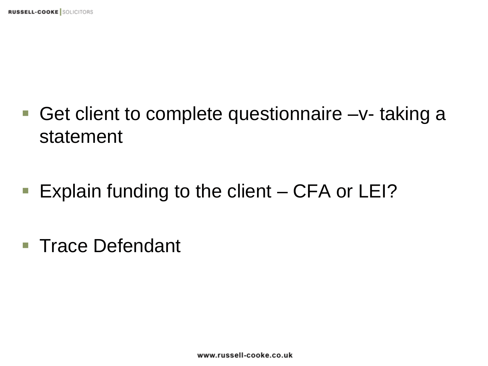- Get client to complete questionnaire –v- taking a statement
- **Explain funding to the client CFA or LEI?**
- Trace Defendant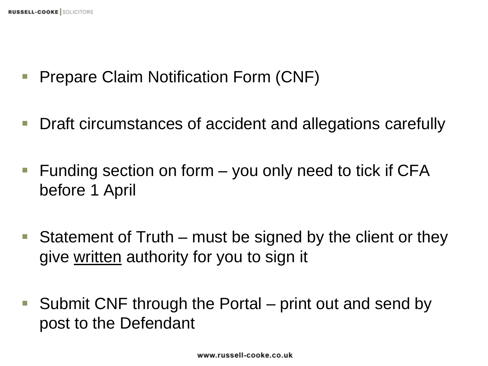- **Prepare Claim Notification Form (CNF)**
- Draft circumstances of accident and allegations carefully
- Funding section on form  $-$  you only need to tick if CFA before 1 April
- Statement of Truth must be signed by the client or they give written authority for you to sign it
- Submit CNF through the Portal print out and send by post to the Defendant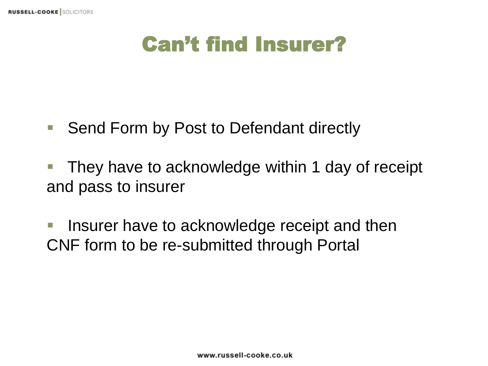#### Can't find Insurer?

- Send Form by Post to Defendant directly
- They have to acknowledge within 1 day of receipt and pass to insurer
- **If linsurer have to acknowledge receipt and then** CNF form to be re-submitted through Portal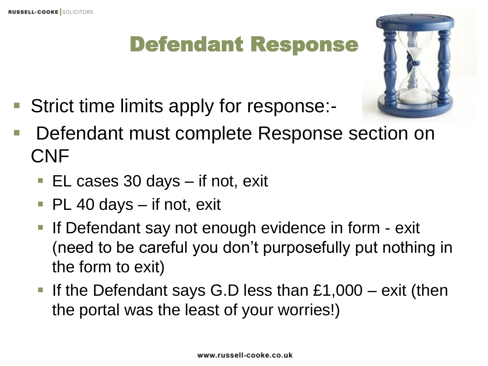#### Defendant Response

■ Strict time limits apply for response:-



- Defendant must complete Response section on CNF
	- EL cases 30 days if not, exit
	- PL 40 days if not, exit
	- **If Defendant say not enough evidence in form exit** (need to be careful you don't purposefully put nothing in the form to exit)
	- If the Defendant says G.D less than  $£1,000 exit$  (then the portal was the least of your worries!)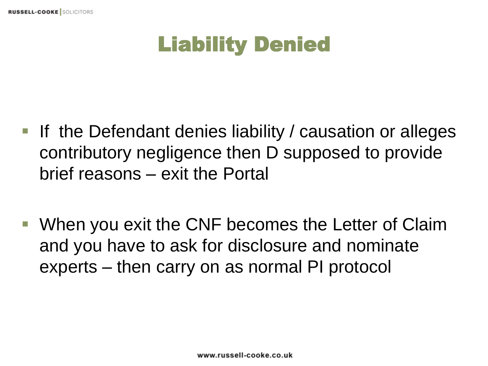## Liability Denied

- If the Defendant denies liability / causation or alleges contributory negligence then D supposed to provide brief reasons – exit the Portal
- When you exit the CNF becomes the Letter of Claim and you have to ask for disclosure and nominate experts – then carry on as normal PI protocol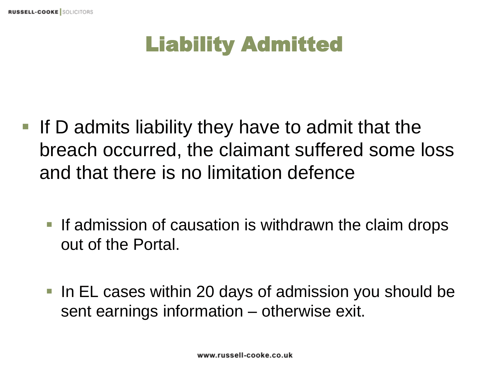# Liability Admitted

- If D admits liability they have to admit that the breach occurred, the claimant suffered some loss and that there is no limitation defence
	- **If admission of causation is withdrawn the claim drops** out of the Portal.
	- In EL cases within 20 days of admission you should be sent earnings information – otherwise exit.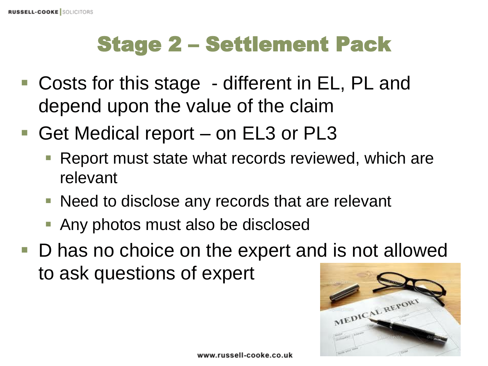# Stage 2 – Settlement Pack

- Costs for this stage different in EL, PL and depend upon the value of the claim
- Get Medical report on EL3 or PL3
	- **Report must state what records reviewed, which are** relevant
	- Need to disclose any records that are relevant
	- **Any photos must also be disclosed**
- D has no choice on the expert and is not allowed to ask questions of expert

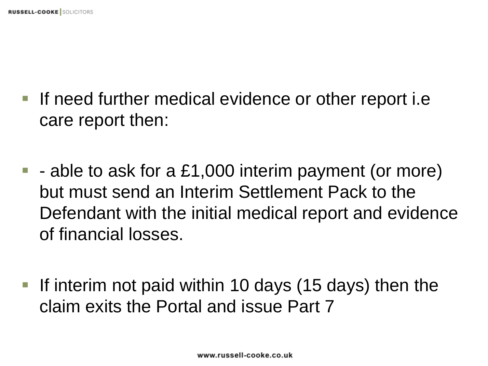- If need further medical evidence or other report i.e care report then:
- $\blacksquare$  able to ask for a £1,000 interim payment (or more) but must send an Interim Settlement Pack to the Defendant with the initial medical report and evidence of financial losses.
- If interim not paid within 10 days  $(15 \text{ days})$  then the claim exits the Portal and issue Part 7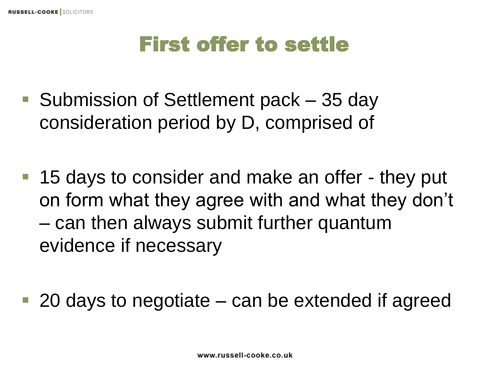#### First offer to settle

- Submission of Settlement pack 35 day consideration period by D, comprised of
- 15 days to consider and make an offer they put on form what they agree with and what they don't – can then always submit further quantum evidence if necessary
- 20 days to negotiate can be extended if agreed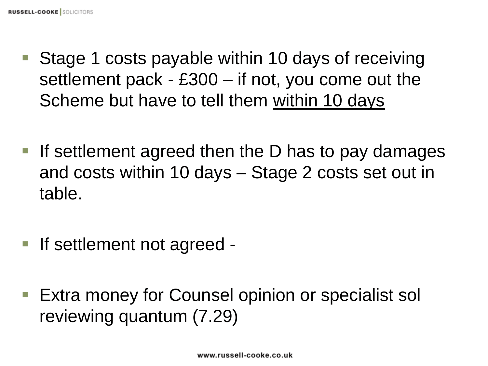- Stage 1 costs payable within 10 days of receiving settlement pack - £300 – if not, you come out the Scheme but have to tell them within 10 days
- If settlement agreed then the D has to pay damages and costs within 10 days – Stage 2 costs set out in table.
- If settlement not agreed -
- Extra money for Counsel opinion or specialist sol reviewing quantum (7.29)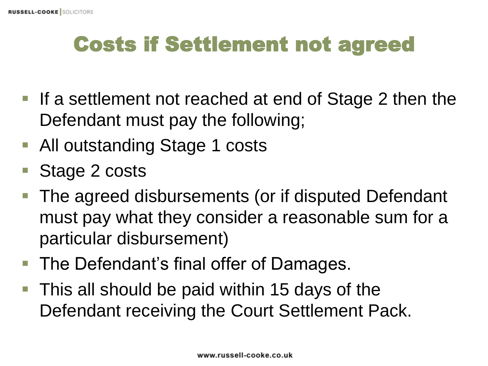## Costs if Settlement not agreed

- If a settlement not reached at end of Stage 2 then the Defendant must pay the following;
- All outstanding Stage 1 costs
- Stage 2 costs
- The agreed disbursements (or if disputed Defendant must pay what they consider a reasonable sum for a particular disbursement)
- The Defendant's final offer of Damages.
- This all should be paid within 15 days of the Defendant receiving the Court Settlement Pack.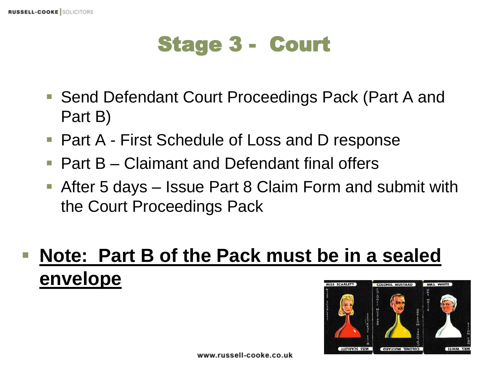## Stage 3 - Court

- Send Defendant Court Proceedings Pack (Part A and Part B)
- Part A First Schedule of Loss and D response
- Part B Claimant and Defendant final offers
- After 5 days Issue Part 8 Claim Form and submit with the Court Proceedings Pack

#### **Note: Part B of the Pack must be in a sealed envelope**SS SCARLETT **COLONEL MUSTARD**

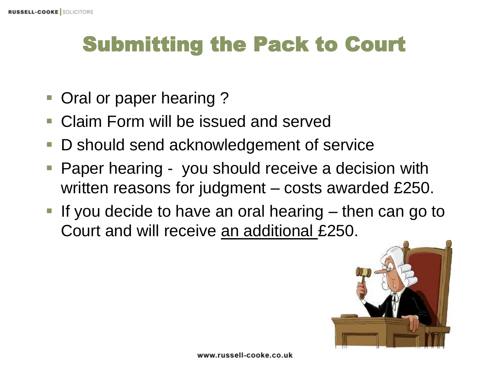#### Submitting the Pack to Court

- **Oral or paper hearing?**
- Claim Form will be issued and served
- D should send acknowledgement of service
- **Paper hearing you should receive a decision with** written reasons for judgment – costs awarded £250.
- If you decide to have an oral hearing  $-$  then can go to Court and will receive an additional £250.

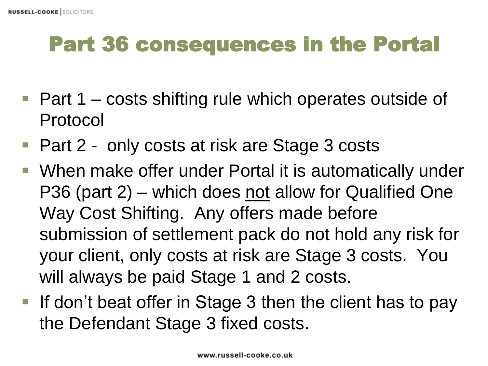# Part 36 consequences in the Portal

- $\blacksquare$  Part 1 costs shifting rule which operates outside of Protocol
- Part 2 only costs at risk are Stage 3 costs
- When make offer under Portal it is automatically under P36 (part  $2$ ) – which does not allow for Qualified One Way Cost Shifting. Any offers made before submission of settlement pack do not hold any risk for your client, only costs at risk are Stage 3 costs. You will always be paid Stage 1 and 2 costs.
- If don't beat offer in Stage 3 then the client has to pay the Defendant Stage 3 fixed costs.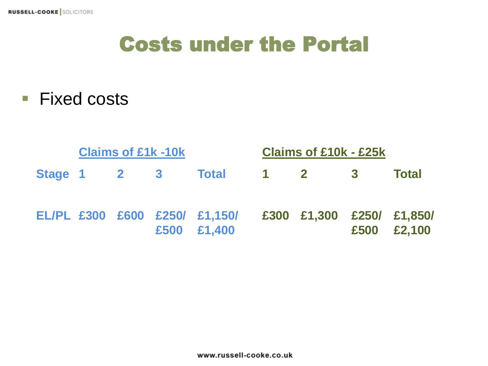#### Costs under the Portal

■ Fixed costs

|             | <b>Claims of £1k -10k</b> |  |  |                                                                        |  | <b>Claims of £10k - £25k</b> |      |              |  |
|-------------|---------------------------|--|--|------------------------------------------------------------------------|--|------------------------------|------|--------------|--|
| Stage 1 2 3 |                           |  |  | <b>Total</b>                                                           |  | $1 \t2 \t3$                  |      | <b>Total</b> |  |
|             |                           |  |  | EL/PL £300 £600 £250/ £1,150/ £300 £1,300 £250/ £1,850/<br>£500 £1,400 |  |                              | £500 | £2,100       |  |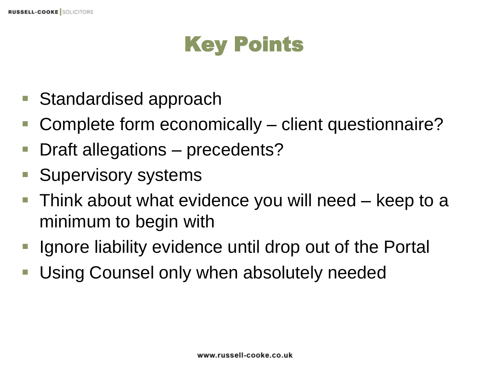## Key Points

- Standardised approach
- Complete form economically client questionnaire?
- Draft allegations precedents?
- **Supervisory systems**
- Think about what evidence you will need keep to a minimum to begin with
- Ignore liability evidence until drop out of the Portal
- Using Counsel only when absolutely needed